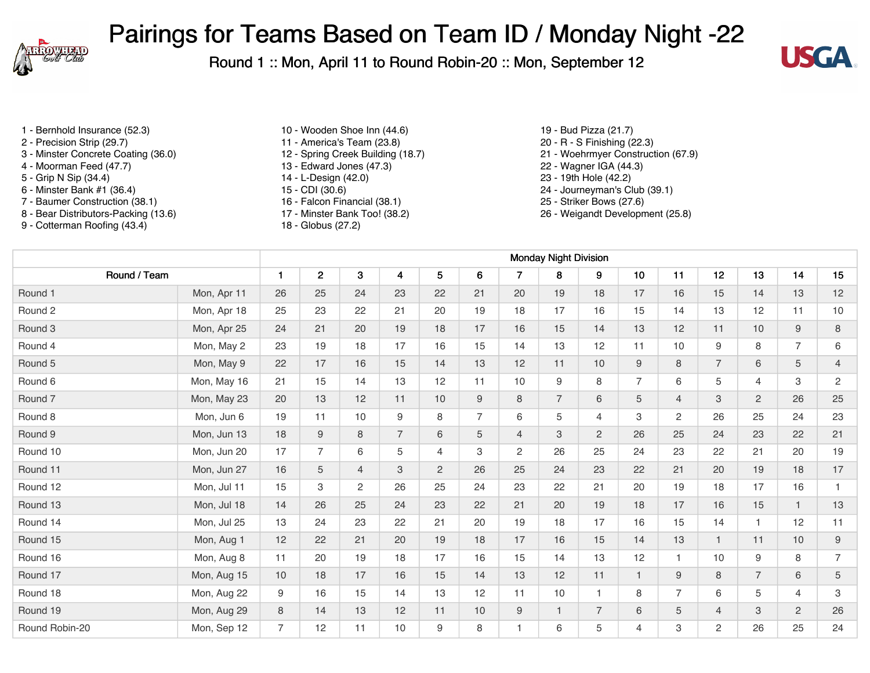



- 
- 
- 
- 4 Moorman Feed (47.7)
- 
- 
- 7 Baumer Construction (38.1) 16 Falcon Financial (38.1)
- 
- 9 Cotterman Roofing (43.4) 18 Globus (27.2)
- 1 Bernhold Insurance (52.3) 10 Wooden Shoe Inn (44.6) 19 Bud Pizza (21.7) 2 - Precision Strip (29.7) 11 - America's Team (23.8) 20 - R - S Finishing (22.3) 3 - Minster Concrete Coating (36.0) 12 - Spring Creek Building (18.7) 21 - Woehrmyer Construction (67.9)<br>3 - Moorman Feed (47.7) 13 - Edward Jones (47.3) 22 - Wagner IGA (44.3) 5 - Grip N Sip (34.4) 14 - L-Design (42.0) 23 - 19th Hole (42.2) 6 - Minster Bank #1 (36.4) 15 - CDI (30.6) 24 - Journeyman's Club (39.1) 8 - Bear Distributors-Packing (13.6) 17 - Minster Bank Too! (38.2) 26 - Weigandt Development (25.8)
	-
- 
- 
- 
- 
- 
- 
- 
- 

|                    |             | <b>Monday Night Division</b> |                |                |                |                |                |                |                |                |                |                |                |                |                |                  |
|--------------------|-------------|------------------------------|----------------|----------------|----------------|----------------|----------------|----------------|----------------|----------------|----------------|----------------|----------------|----------------|----------------|------------------|
| Round / Team       |             | $\overline{\mathbf{1}}$      | $\overline{2}$ | 3              | $\overline{4}$ | 5              | 6              | $\overline{7}$ | 8              | 9              | 10             | 11             | 12             | 13             | 14             | 15               |
| Round 1            | Mon, Apr 11 | 26                           | 25             | 24             | 23             | 22             | 21             | 20             | 19             | 18             | 17             | 16             | 15             | 14             | 13             | 12               |
| Round 2            | Mon, Apr 18 | 25                           | 23             | 22             | 21             | 20             | 19             | 18             | 17             | 16             | 15             | 14             | 13             | 12             | 11             | 10               |
| Round 3            | Mon, Apr 25 | 24                           | 21             | 20             | 19             | 18             | 17             | 16             | 15             | 14             | 13             | 12             | 11             | 10             | 9              | 8                |
| Round 4            | Mon, May 2  | 23                           | 19             | 18             | 17             | 16             | 15             | 14             | 13             | 12             | 11             | 10             | 9              | 8              | $\overline{7}$ | 6                |
| Round 5            | Mon, May 9  | 22                           | 17             | 16             | 15             | 14             | 13             | 12             | 11             | 10             | 9              | 8              | $\overline{7}$ | $6\phantom{.}$ | 5              | $\overline{4}$   |
| Round 6            | Mon, May 16 | 21                           | 15             | 14             | 13             | 12             | 11             | 10             | 9              | 8              | $\overline{7}$ | 6              | 5              | 4              | 3              | $\overline{2}$   |
| Round <sub>7</sub> | Mon, May 23 | 20                           | 13             | 12             | 11             | 10             | 9              | 8              | $\overline{7}$ | 6              | 5              | $\overline{4}$ | 3              | $\overline{2}$ | 26             | 25               |
| Round 8            | Mon, Jun 6  | 19                           | 11             | 10             | 9              | 8              | $\overline{7}$ | 6              | 5              | $\overline{4}$ | 3              | $\overline{2}$ | 26             | 25             | 24             | 23               |
| Round 9            | Mon, Jun 13 | 18                           | 9              | 8              | $\overline{7}$ | 6              | 5              | $\overline{4}$ | 3              | $\overline{c}$ | 26             | 25             | 24             | 23             | 22             | 21               |
| Round 10           | Mon, Jun 20 | 17                           | $\overline{7}$ | 6              | 5              | $\overline{4}$ | 3              | 2              | 26             | 25             | 24             | 23             | 22             | 21             | 20             | 19               |
| Round 11           | Mon, Jun 27 | 16                           | 5              | $\overline{4}$ | 3              | $\overline{2}$ | 26             | 25             | 24             | 23             | 22             | 21             | 20             | 19             | 18             | 17               |
| Round 12           | Mon, Jul 11 | 15                           | 3              | 2              | 26             | 25             | 24             | 23             | 22             | 21             | 20             | 19             | 18             | 17             | 16             | $\mathbf{1}$     |
| Round 13           | Mon, Jul 18 | 14                           | 26             | 25             | 24             | 23             | 22             | 21             | 20             | 19             | 18             | 17             | 16             | 15             | $\mathbf{1}$   | 13               |
| Round 14           | Mon, Jul 25 | 13                           | 24             | 23             | 22             | 21             | 20             | 19             | 18             | 17             | 16             | 15             | 14             | $\mathbf{1}$   | 12             | 11               |
| Round 15           | Mon, Aug 1  | 12                           | 22             | 21             | 20             | 19             | 18             | 17             | 16             | 15             | 14             | 13             | $\mathbf{1}$   | 11             | 10             | $\boldsymbol{9}$ |
| Round 16           | Mon, Aug 8  | 11                           | 20             | 19             | 18             | 17             | 16             | 15             | 14             | 13             | 12             | $\mathbf{1}$   | 10             | 9              | 8              | $\overline{7}$   |
| Round 17           | Mon, Aug 15 | 10                           | 18             | 17             | 16             | 15             | 14             | 13             | 12             | 11             | $\mathbf{1}$   | 9              | 8              | $\overline{7}$ | 6              | 5                |
| Round 18           | Mon, Aug 22 | 9                            | 16             | 15             | 14             | 13             | 12             | 11             | 10             |                | 8              | $\overline{7}$ | 6              | 5              | $\overline{4}$ | 3                |
| Round 19           | Mon, Aug 29 | 8                            | 14             | 13             | 12             | 11             | 10             | 9              | $\mathbf{1}$   | $\overline{7}$ | 6              | 5              | $\overline{4}$ | 3              | 2              | 26               |
| Round Robin-20     | Mon, Sep 12 | $\overline{7}$               | 12             | 11             | 10             | 9              | 8              |                | 6              | 5              | 4              | 3              | 2              | 26             | 25             | 24               |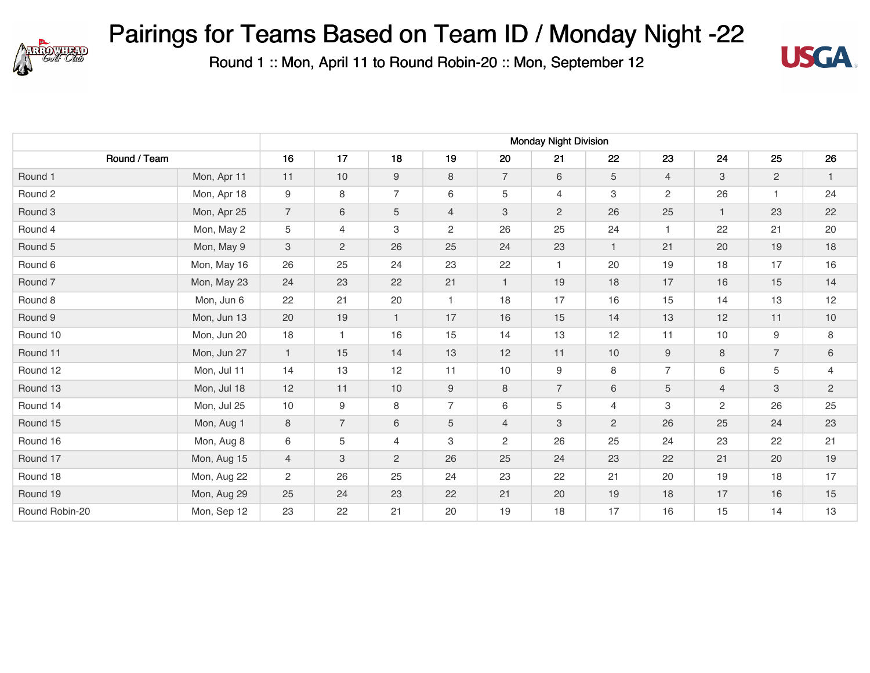



|                    |             | <b>Monday Night Division</b> |                           |                |                |                           |                  |                |                  |                |                           |                |
|--------------------|-------------|------------------------------|---------------------------|----------------|----------------|---------------------------|------------------|----------------|------------------|----------------|---------------------------|----------------|
| Round / Team       |             | 16                           | 17                        | 18             | 19             | 20                        | 21               | 22             | 23               | 24             | 25                        | 26             |
| Round 1            | Mon, Apr 11 | 11                           | 10                        | $\hbox{9}$     | $\,8\,$        | $\overline{7}$            | $\,6\,$          | 5              | $\overline{4}$   | $\mathbf{3}$   | $\sqrt{2}$                | $\mathbf{1}$   |
| Round 2            | Mon, Apr 18 | 9                            | 8                         | $\overline{7}$ | 6              | 5                         | $\overline{4}$   | 3              | $\sqrt{2}$       | 26             | $\mathbf{1}$              | 24             |
| Round 3            | Mon, Apr 25 | $\overline{7}$               | 6                         | 5              | $\overline{4}$ | $\ensuremath{\mathsf{3}}$ | $\overline{2}$   | 26             | 25               | $\mathbf{1}$   | 23                        | 22             |
| Round 4            | Mon, May 2  | 5                            | $\overline{4}$            | 3              | $\mathbf{2}$   | 26                        | 25               | 24             | 1                | 22             | 21                        | 20             |
| Round 5            | Mon, May 9  | 3                            | $\overline{2}$            | 26             | 25             | 24                        | 23               | $\mathbf{1}$   | 21               | 20             | 19                        | 18             |
| Round 6            | Mon, May 16 | 26                           | 25                        | 24             | 23             | 22                        | $\mathbf{1}$     | 20             | 19               | 18             | 17                        | 16             |
| Round <sub>7</sub> | Mon, May 23 | 24                           | 23                        | 22             | 21             | $\mathbf{1}$              | 19               | 18             | 17               | 16             | 15                        | 14             |
| Round 8            | Mon, Jun 6  | 22                           | 21                        | 20             | $\overline{1}$ | 18                        | 17               | 16             | 15               | 14             | 13                        | 12             |
| Round 9            | Mon, Jun 13 | 20                           | 19                        | $\mathbf{1}$   | 17             | 16                        | 15               | 14             | 13               | 12             | 11                        | 10             |
| Round 10           | Mon, Jun 20 | 18                           | $\mathbf{1}$              | 16             | 15             | 14                        | 13               | 12             | 11               | 10             | $\boldsymbol{9}$          | 8              |
| Round 11           | Mon, Jun 27 | $\mathbf{1}$                 | 15                        | 14             | 13             | 12                        | 11               | 10             | $\boldsymbol{9}$ | 8              | $\overline{7}$            | $\,6\,$        |
| Round 12           | Mon, Jul 11 | 14                           | 13                        | 12             | 11             | 10                        | $\boldsymbol{9}$ | 8              | $\overline{7}$   | 6              | $\sqrt{5}$                | $\overline{4}$ |
| Round 13           | Mon, Jul 18 | 12                           | 11                        | 10             | 9              | 8                         | $\overline{7}$   | 6              | 5                | $\overline{4}$ | $\ensuremath{\mathsf{3}}$ | $\overline{2}$ |
| Round 14           | Mon, Jul 25 | 10                           | $\boldsymbol{9}$          | 8              | $\overline{7}$ | 6                         | 5                | 4              | 3                | $\overline{2}$ | 26                        | 25             |
| Round 15           | Mon, Aug 1  | 8                            | $\overline{7}$            | 6              | 5              | $\overline{4}$            | 3                | $\overline{c}$ | 26               | 25             | 24                        | 23             |
| Round 16           | Mon, Aug 8  | 6                            | $\mathbf 5$               | 4              | 3              | $\overline{c}$            | 26               | 25             | 24               | 23             | 22                        | 21             |
| Round 17           | Mon, Aug 15 | $\overline{4}$               | $\ensuremath{\mathsf{3}}$ | $\mathbf{2}$   | 26             | 25                        | 24               | 23             | 22               | 21             | 20                        | 19             |
| Round 18           | Mon, Aug 22 | 2                            | 26                        | 25             | 24             | 23                        | 22               | 21             | 20               | 19             | 18                        | 17             |
| Round 19           | Mon, Aug 29 | 25                           | 24                        | 23             | 22             | 21                        | 20               | 19             | 18               | 17             | 16                        | 15             |
| Round Robin-20     | Mon, Sep 12 | 23                           | 22                        | 21             | 20             | 19                        | 18               | 17             | 16               | 15             | 14                        | 13             |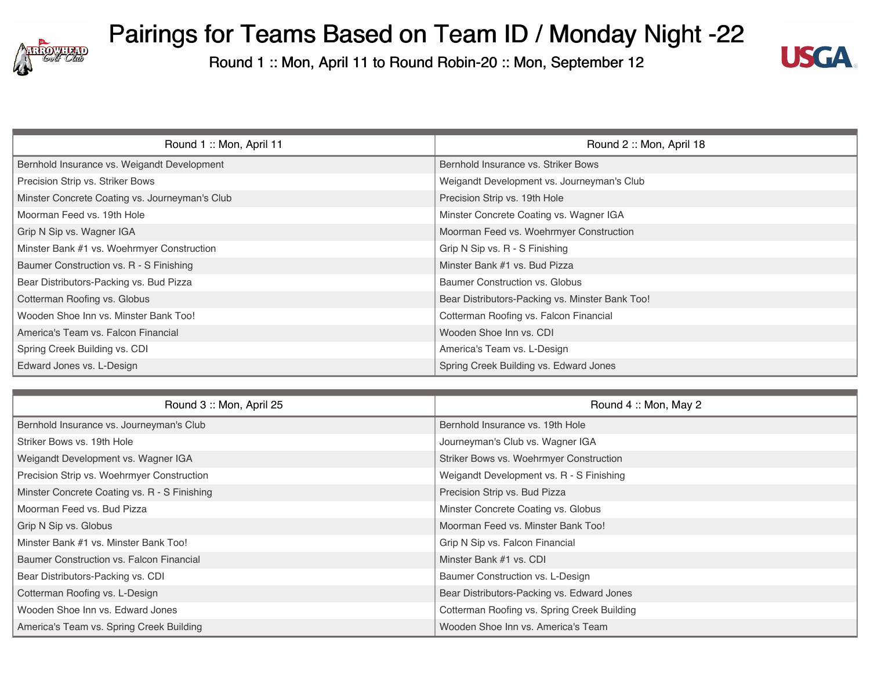



| Round 1: Mon, April 11                         | Round 2: Mon, April 18                          |
|------------------------------------------------|-------------------------------------------------|
| Bernhold Insurance vs. Weigandt Development    | Bernhold Insurance vs. Striker Bows             |
| Precision Strip vs. Striker Bows               | Weigandt Development vs. Journeyman's Club      |
| Minster Concrete Coating vs. Journeyman's Club | Precision Strip vs. 19th Hole                   |
| Moorman Feed vs. 19th Hole                     | Minster Concrete Coating vs. Wagner IGA         |
| Grip N Sip vs. Wagner IGA                      | Moorman Feed vs. Woehrmyer Construction         |
| Minster Bank #1 vs. Woehrmyer Construction     | Grip N Sip vs. R - S Finishing                  |
| Baumer Construction vs. R - S Finishing        | Minster Bank #1 vs. Bud Pizza                   |
| Bear Distributors-Packing vs. Bud Pizza        | Baumer Construction vs. Globus                  |
| Cotterman Roofing vs. Globus                   | Bear Distributors-Packing vs. Minster Bank Too! |
| Wooden Shoe Inn vs. Minster Bank Too!          | Cotterman Roofing vs. Falcon Financial          |
| America's Team vs. Falcon Financial            | Wooden Shoe Inn vs. CDI                         |
| Spring Creek Building vs. CDI                  | America's Team vs. L-Design                     |
| Edward Jones vs. L-Design                      | Spring Creek Building vs. Edward Jones          |

| Round 3: Mon, April 25                       | Round 4: Mon, May 2                         |
|----------------------------------------------|---------------------------------------------|
| Bernhold Insurance vs. Journeyman's Club     | Bernhold Insurance vs. 19th Hole            |
| Striker Bows vs. 19th Hole                   | Journeyman's Club vs. Wagner IGA            |
| Weigandt Development vs. Wagner IGA          | Striker Bows vs. Woehrmyer Construction     |
| Precision Strip vs. Woehrmyer Construction   | Weigandt Development vs. R - S Finishing    |
| Minster Concrete Coating vs. R - S Finishing | Precision Strip vs. Bud Pizza               |
| Moorman Feed vs. Bud Pizza                   | Minster Concrete Coating vs. Globus         |
| Grip N Sip vs. Globus                        | Moorman Feed vs. Minster Bank Too!          |
| Minster Bank #1 vs. Minster Bank Too!        | Grip N Sip vs. Falcon Financial             |
| Baumer Construction vs. Falcon Financial     | Minster Bank #1 vs. CDI                     |
| Bear Distributors-Packing vs. CDI            | Baumer Construction vs. L-Design            |
| Cotterman Roofing vs. L-Design               | Bear Distributors-Packing vs. Edward Jones  |
| Wooden Shoe Inn vs. Edward Jones             | Cotterman Roofing vs. Spring Creek Building |
| America's Team vs. Spring Creek Building     | Wooden Shoe Inn vs. America's Team          |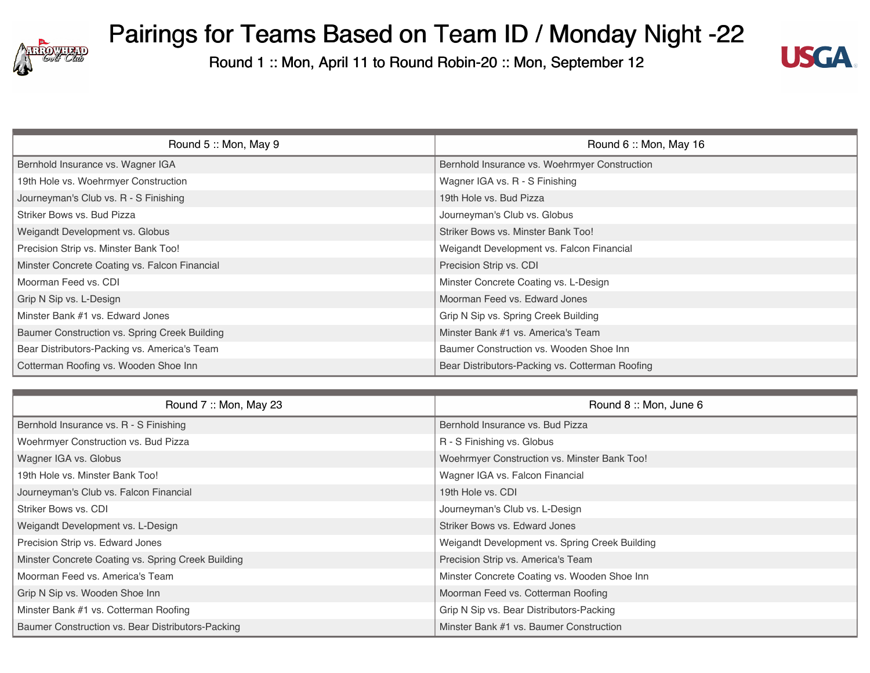



| Round 5: Mon, May 9                           | Round 6: Mon, May 16                            |
|-----------------------------------------------|-------------------------------------------------|
| Bernhold Insurance vs. Wagner IGA             | Bernhold Insurance vs. Woehrmyer Construction   |
| 19th Hole vs. Woehrmyer Construction          | Wagner IGA vs. R - S Finishing                  |
| Journeyman's Club vs. R - S Finishing         | 19th Hole vs. Bud Pizza                         |
| Striker Bows vs. Bud Pizza                    | Journeyman's Club vs. Globus                    |
| Weigandt Development vs. Globus               | Striker Bows vs. Minster Bank Too!              |
| Precision Strip vs. Minster Bank Too!         | Weigandt Development vs. Falcon Financial       |
| Minster Concrete Coating vs. Falcon Financial | Precision Strip vs. CDI                         |
| Moorman Feed vs. CDI                          | Minster Concrete Coating vs. L-Design           |
| Grip N Sip vs. L-Design                       | Moorman Feed vs. Edward Jones                   |
| Minster Bank #1 vs. Edward Jones              | Grip N Sip vs. Spring Creek Building            |
| Baumer Construction vs. Spring Creek Building | Minster Bank #1 vs. America's Team              |
| Bear Distributors-Packing vs. America's Team  | Baumer Construction vs. Wooden Shoe Inn         |
| Cotterman Roofing vs. Wooden Shoe Inn         | Bear Distributors-Packing vs. Cotterman Roofing |

| Round 7: Mon, May 23                               | Round 8: Mon, June 6                           |
|----------------------------------------------------|------------------------------------------------|
| Bernhold Insurance vs. R - S Finishing             | Bernhold Insurance vs. Bud Pizza               |
| Woehrmyer Construction vs. Bud Pizza               | R - S Finishing vs. Globus                     |
| Wagner IGA vs. Globus                              | Woehrmyer Construction vs. Minster Bank Too!   |
| 19th Hole vs. Minster Bank Too!                    | Wagner IGA vs. Falcon Financial                |
| Journeyman's Club vs. Falcon Financial             | 19th Hole vs. CDI                              |
| Striker Bows vs. CDI                               | Journeyman's Club vs. L-Design                 |
| Weigandt Development vs. L-Design                  | Striker Bows vs. Edward Jones                  |
| Precision Strip vs. Edward Jones                   | Weigandt Development vs. Spring Creek Building |
| Minster Concrete Coating vs. Spring Creek Building | Precision Strip vs. America's Team             |
| Moorman Feed vs. America's Team                    | Minster Concrete Coating vs. Wooden Shoe Inn   |
| Grip N Sip vs. Wooden Shoe Inn                     | Moorman Feed vs. Cotterman Roofing             |
| Minster Bank #1 vs. Cotterman Roofing              | Grip N Sip vs. Bear Distributors-Packing       |
| Baumer Construction vs. Bear Distributors-Packing  | Minster Bank #1 vs. Baumer Construction        |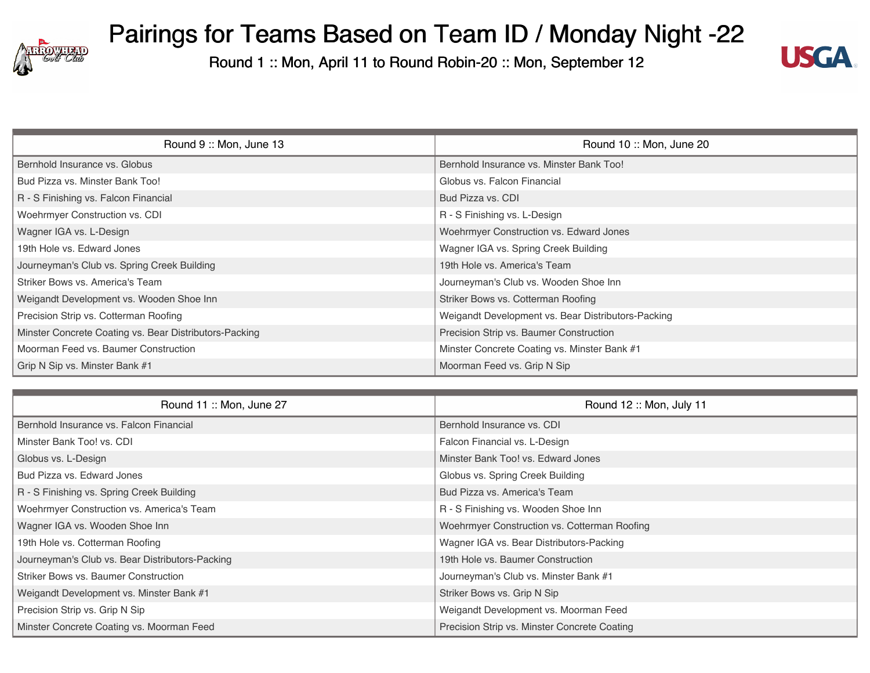



| Round 9: Mon, June 13                                  | Round 10: Mon, June 20                             |
|--------------------------------------------------------|----------------------------------------------------|
| Bernhold Insurance vs. Globus                          | Bernhold Insurance vs. Minster Bank Too!           |
| Bud Pizza vs. Minster Bank Too!                        | Globus vs. Falcon Financial                        |
| R - S Finishing vs. Falcon Financial                   | Bud Pizza vs. CDI                                  |
| Woehrmyer Construction vs. CDI                         | R - S Finishing vs. L-Design                       |
| Wagner IGA vs. L-Design                                | Woehrmyer Construction vs. Edward Jones            |
| 19th Hole vs. Edward Jones                             | Wagner IGA vs. Spring Creek Building               |
| Journeyman's Club vs. Spring Creek Building            | 19th Hole vs. America's Team                       |
| Striker Bows vs. America's Team                        | Journeyman's Club vs. Wooden Shoe Inn              |
| Weigandt Development vs. Wooden Shoe Inn               | Striker Bows vs. Cotterman Roofing                 |
| Precision Strip vs. Cotterman Roofing                  | Weigandt Development vs. Bear Distributors-Packing |
| Minster Concrete Coating vs. Bear Distributors-Packing | Precision Strip vs. Baumer Construction            |
| Moorman Feed vs. Baumer Construction                   | Minster Concrete Coating vs. Minster Bank #1       |
| Grip N Sip vs. Minster Bank #1                         | Moorman Feed vs. Grip N Sip                        |

| Round 11: Mon, June 27                          | Round 12: Mon, July 11                       |  |  |
|-------------------------------------------------|----------------------------------------------|--|--|
| Bernhold Insurance vs. Falcon Financial         | Bernhold Insurance vs. CDI                   |  |  |
| Minster Bank Too! vs. CDI                       | Falcon Financial vs. L-Design                |  |  |
| Globus vs. L-Design                             | Minster Bank Too! vs. Edward Jones           |  |  |
| Bud Pizza vs. Edward Jones                      | Globus vs. Spring Creek Building             |  |  |
| R - S Finishing vs. Spring Creek Building       | Bud Pizza vs. America's Team                 |  |  |
| Woehrmyer Construction vs. America's Team       | R - S Finishing vs. Wooden Shoe Inn          |  |  |
| Wagner IGA vs. Wooden Shoe Inn                  | Woehrmyer Construction vs. Cotterman Roofing |  |  |
| 19th Hole vs. Cotterman Roofing                 | Wagner IGA vs. Bear Distributors-Packing     |  |  |
| Journeyman's Club vs. Bear Distributors-Packing | 19th Hole vs. Baumer Construction            |  |  |
| <b>Striker Bows vs. Baumer Construction</b>     | Journeyman's Club vs. Minster Bank #1        |  |  |
| Weigandt Development vs. Minster Bank #1        | Striker Bows vs. Grip N Sip                  |  |  |
| Precision Strip vs. Grip N Sip                  | Weigandt Development vs. Moorman Feed        |  |  |
| Minster Concrete Coating vs. Moorman Feed       | Precision Strip vs. Minster Concrete Coating |  |  |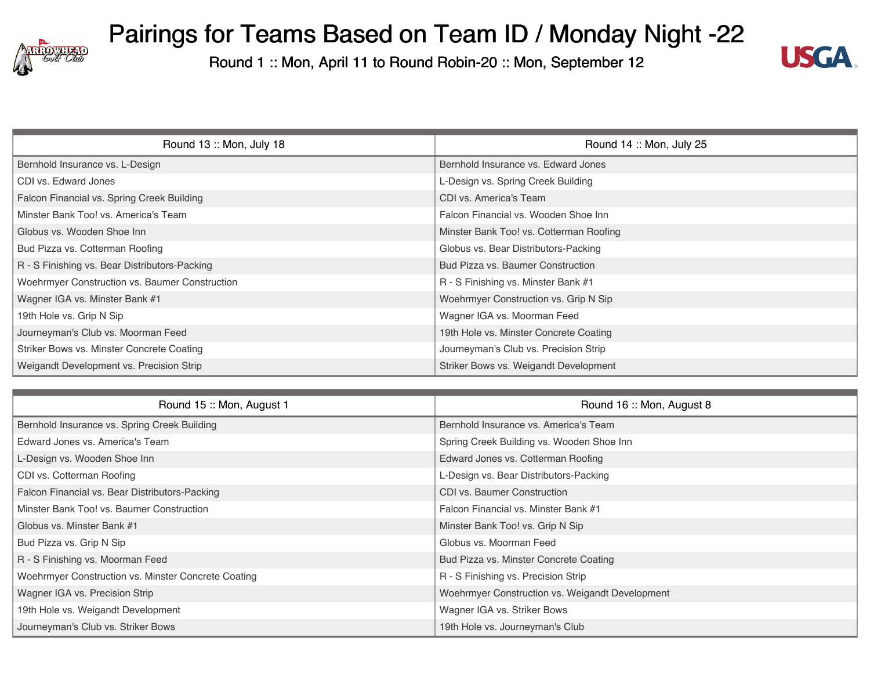



| Round 13: Mon, July 18                         | Round 14 :: Mon, July 25                 |
|------------------------------------------------|------------------------------------------|
| Bernhold Insurance vs. L-Design                | Bernhold Insurance vs. Edward Jones      |
| CDI vs. Edward Jones                           | L-Design vs. Spring Creek Building       |
| Falcon Financial vs. Spring Creek Building     | CDI vs. America's Team                   |
| Minster Bank Too! vs. America's Team           | Falcon Financial vs. Wooden Shoe Inn     |
| Globus vs. Wooden Shoe Inn                     | Minster Bank Too! vs. Cotterman Roofing  |
| Bud Pizza vs. Cotterman Roofing                | Globus vs. Bear Distributors-Packing     |
| R - S Finishing vs. Bear Distributors-Packing  | <b>Bud Pizza vs. Baumer Construction</b> |
| Woehrmyer Construction vs. Baumer Construction | R - S Finishing vs. Minster Bank #1      |
| Wagner IGA vs. Minster Bank #1                 | Woehrmyer Construction vs. Grip N Sip    |
| 19th Hole vs. Grip N Sip                       | Wagner IGA vs. Moorman Feed              |
| Journeyman's Club vs. Moorman Feed             | 19th Hole vs. Minster Concrete Coating   |
| Striker Bows vs. Minster Concrete Coating      | Journeyman's Club vs. Precision Strip    |
| Weigandt Development vs. Precision Strip       | Striker Bows vs. Weigandt Development    |

| Round 15: Mon, August 1                             | Round 16: Mon, August 8                         |
|-----------------------------------------------------|-------------------------------------------------|
| Bernhold Insurance vs. Spring Creek Building        | Bernhold Insurance vs. America's Team           |
| Edward Jones vs. America's Team                     | Spring Creek Building vs. Wooden Shoe Inn       |
| L-Design vs. Wooden Shoe Inn                        | Edward Jones vs. Cotterman Roofing              |
| CDI vs. Cotterman Roofing                           | L-Design vs. Bear Distributors-Packing          |
| Falcon Financial vs. Bear Distributors-Packing      | CDI vs. Baumer Construction                     |
| Minster Bank Too! vs. Baumer Construction           | Falcon Financial vs. Minster Bank #1            |
| Globus vs. Minster Bank #1                          | Minster Bank Too! vs. Grip N Sip                |
| Bud Pizza vs. Grip N Sip                            | Globus vs. Moorman Feed                         |
| R - S Finishing vs. Moorman Feed                    | Bud Pizza vs. Minster Concrete Coating          |
| Woehrmyer Construction vs. Minster Concrete Coating | R - S Finishing vs. Precision Strip             |
| Wagner IGA vs. Precision Strip                      | Woehrmyer Construction vs. Weigandt Development |
| 19th Hole vs. Weigandt Development                  | Wagner IGA vs. Striker Bows                     |
| Journeyman's Club vs. Striker Bows                  | 19th Hole vs. Journeyman's Club                 |